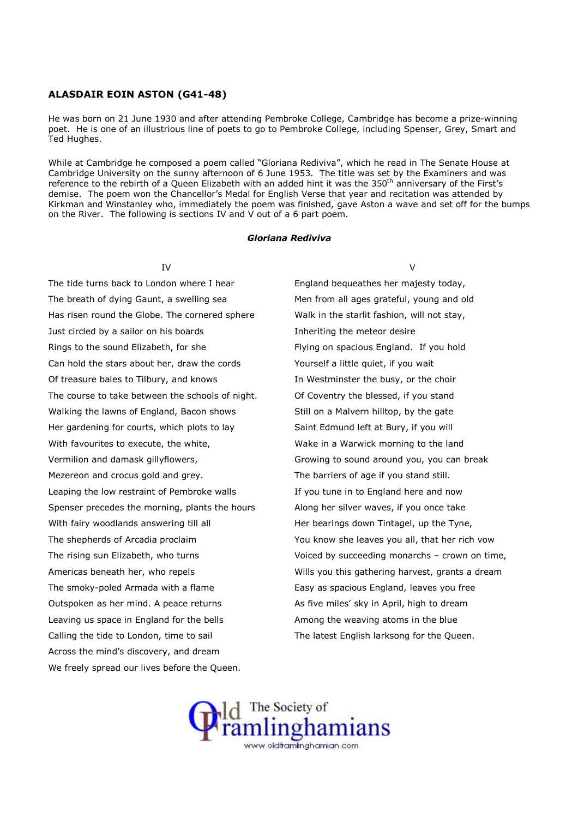## ALASDAIR EOIN ASTON (G41-48)

He was born on 21 June 1930 and after attending Pembroke College, Cambridge has become a prize-winning poet. He is one of an illustrious line of poets to go to Pembroke College, including Spenser, Grey, Smart and Ted Hughes.

While at Cambridge he composed a poem called "Gloriana Rediviva", which he read in The Senate House at Cambridge University on the sunny afternoon of 6 June 1953. The title was set by the Examiners and was reference to the rebirth of a Queen Elizabeth with an added hint it was the 350<sup>th</sup> anniversary of the First's demise. The poem won the Chancellor's Medal for English Verse that year and recitation was attended by Kirkman and Winstanley who, immediately the poem was finished, gave Aston a wave and set off for the bumps on the River. The following is sections IV and V out of a 6 part poem.

## Gloriana Rediviva

IV

The tide turns back to London where I hear The breath of dying Gaunt, a swelling sea Has risen round the Globe. The cornered sphere Just circled by a sailor on his boards Rings to the sound Elizabeth, for she Can hold the stars about her, draw the cords Of treasure bales to Tilbury, and knows The course to take between the schools of night. Walking the lawns of England, Bacon shows Her gardening for courts, which plots to lay With favourites to execute, the white, Vermilion and damask gillyflowers, Mezereon and crocus gold and grey. Leaping the low restraint of Pembroke walls Spenser precedes the morning, plants the hours With fairy woodlands answering till all The shepherds of Arcadia proclaim The rising sun Elizabeth, who turns Americas beneath her, who repels The smoky-poled Armada with a flame Outspoken as her mind. A peace returns Leaving us space in England for the bells Calling the tide to London, time to sail Across the mind's discovery, and dream We freely spread our lives before the Queen.

 $\overline{V}$ 

England bequeathes her majesty today, Men from all ages grateful, young and old Walk in the starlit fashion, will not stay, Inheriting the meteor desire Flying on spacious England. If you hold Yourself a little quiet, if you wait In Westminster the busy, or the choir Of Coventry the blessed, if you stand Still on a Malvern hilltop, by the gate Saint Edmund left at Bury, if you will Wake in a Warwick morning to the land Growing to sound around you, you can break The barriers of age if you stand still. If you tune in to England here and now Along her silver waves, if you once take Her bearings down Tintagel, up the Tyne, You know she leaves you all, that her rich vow Voiced by succeeding monarchs – crown on time, Wills you this gathering harvest, grants a dream Easy as spacious England, leaves you free As five miles' sky in April, high to dream Among the weaving atoms in the blue The latest English larksong for the Queen.

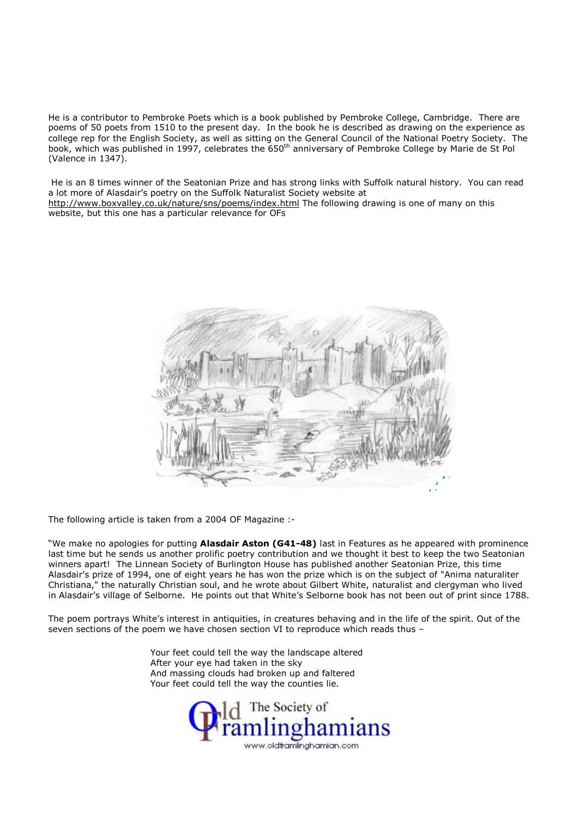He is a contributor to Pembroke Poets which is a book published by Pembroke College, Cambridge. There are poems of 50 poets from 1510 to the present day. In the book he is described as drawing on the experience as college rep for the English Society, as well as sitting on the General Council of the National Poetry Society. The book, which was published in 1997, celebrates the 650<sup>th</sup> anniversary of Pembroke College by Marie de St Pol (Valence in 1347).

 He is an 8 times winner of the Seatonian Prize and has strong links with Suffolk natural history. You can read a lot more of Alasdair's poetry on the Suffolk Naturalist Society website at http://www.boxvalley.co.uk/nature/sns/poems/index.html The following drawing is one of many on this website, but this one has a particular relevance for OFs



The following article is taken from a 2004 OF Magazine :-

"We make no apologies for putting Alasdair Aston (G41-48) last in Features as he appeared with prominence last time but he sends us another prolific poetry contribution and we thought it best to keep the two Seatonian winners apart! The Linnean Society of Burlington House has published another Seatonian Prize, this time Alasdair's prize of 1994, one of eight years he has won the prize which is on the subject of "Anima naturaliter Christiana," the naturally Christian soul, and he wrote about Gilbert White, naturalist and clergyman who lived in Alasdair's village of Selborne. He points out that White's Selborne book has not been out of print since 1788.

The poem portrays White's interest in antiquities, in creatures behaving and in the life of the spirit. Out of the seven sections of the poem we have chosen section VI to reproduce which reads thus –

> Your feet could tell the way the landscape altered After your eye had taken in the sky And massing clouds had broken up and faltered Your feet could tell the way the counties lie.